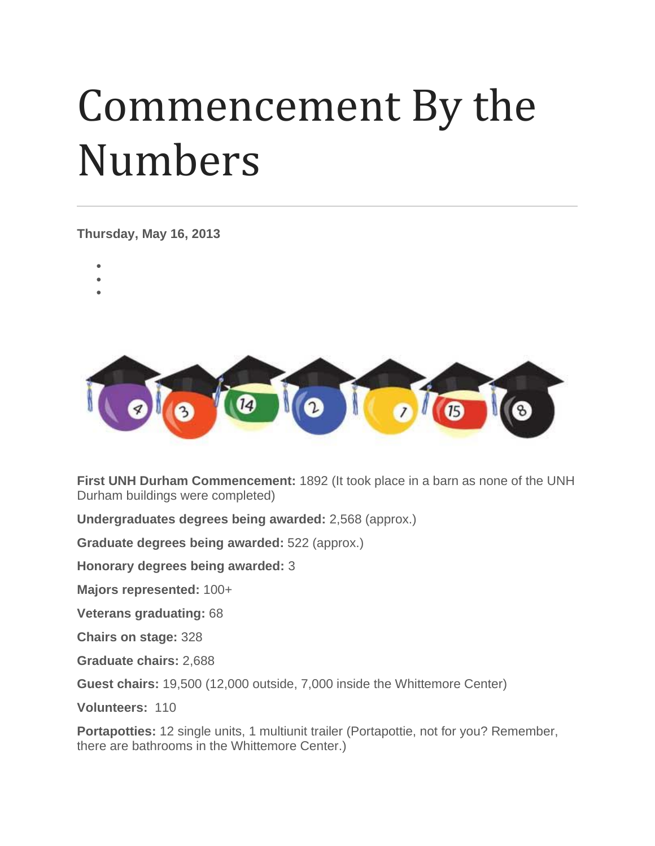## Commencement By the Numbers

**Thursday, May 16, 2013**

- •
- •
- •



**First UNH Durham Commencement:** 1892 (It took place in a barn as none of the UNH Durham buildings were completed)

**Undergraduates degrees being awarded:** 2,568 (approx.)

**Graduate degrees being awarded:** 522 (approx.)

**Honorary degrees being awarded:** 3

**Majors represented:** 100+

**Veterans graduating:** 68

**Chairs on stage:** 328

**Graduate chairs:** 2,688

**Guest chairs:** 19,500 (12,000 outside, 7,000 inside the Whittemore Center)

**Volunteers:** 110

**Portapotties:** 12 single units, 1 multiunit trailer (Portapottie, not for you? Remember, there are bathrooms in the Whittemore Center.)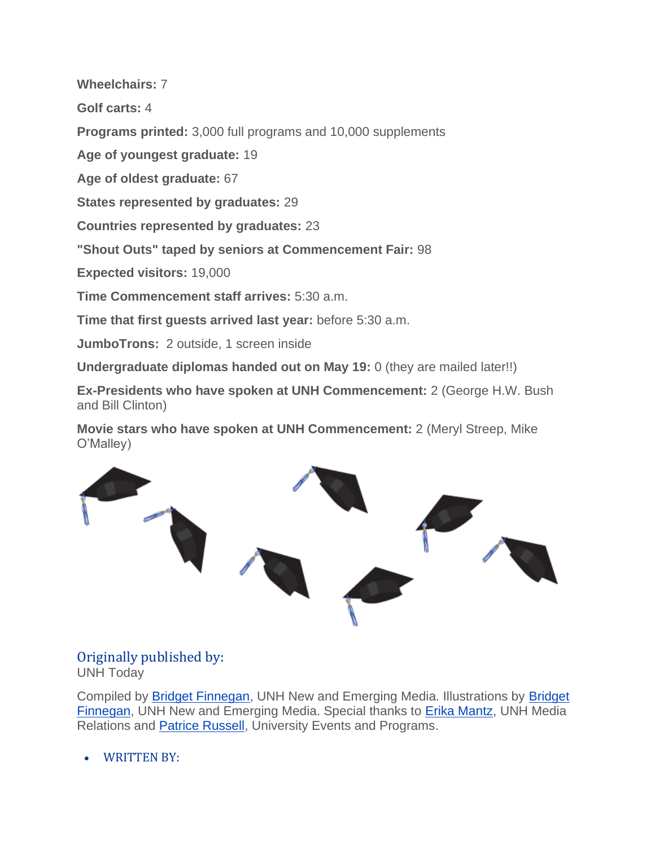**Wheelchairs:** 7

**Golf carts:** 4

**Programs printed:** 3,000 full programs and 10,000 supplements

**Age of youngest graduate:** 19

**Age of oldest graduate:** 67

**States represented by graduates:** 29

**Countries represented by graduates:** 23

**"Shout Outs" taped by seniors at Commencement Fair:** 98

**Expected visitors:** 19,000

**Time Commencement staff arrives:** 5:30 a.m.

**Time that first guests arrived last year:** before 5:30 a.m.

**JumboTrons:** 2 outside, 1 screen inside

**Undergraduate diplomas handed out on May 19:** 0 (they are mailed later!!)

**Ex-Presidents who have spoken at UNH Commencement:** 2 (George H.W. Bush and Bill Clinton)

**Movie stars who have spoken at UNH Commencement:** 2 (Meryl Streep, Mike O'Malley)



## Originally published by: UNH Today

Compiled by [Bridget Finnegan,](mailto:bridget.finnegan@unh.edu) UNH New and Emerging Media. Illustrations by [Bridget](mailto:bridget.finnegan@unh.edu)  [Finnegan,](mailto:bridget.finnegan@unh.edu) UNH New and Emerging Media. Special thanks to [Erika Mantz,](mailto:erika.mantz@unh.edu) UNH Media Relations and [Patrice Russell,](mailto:patrice.russell@unh.edu) University Events and Programs.

• WRITTEN BY: